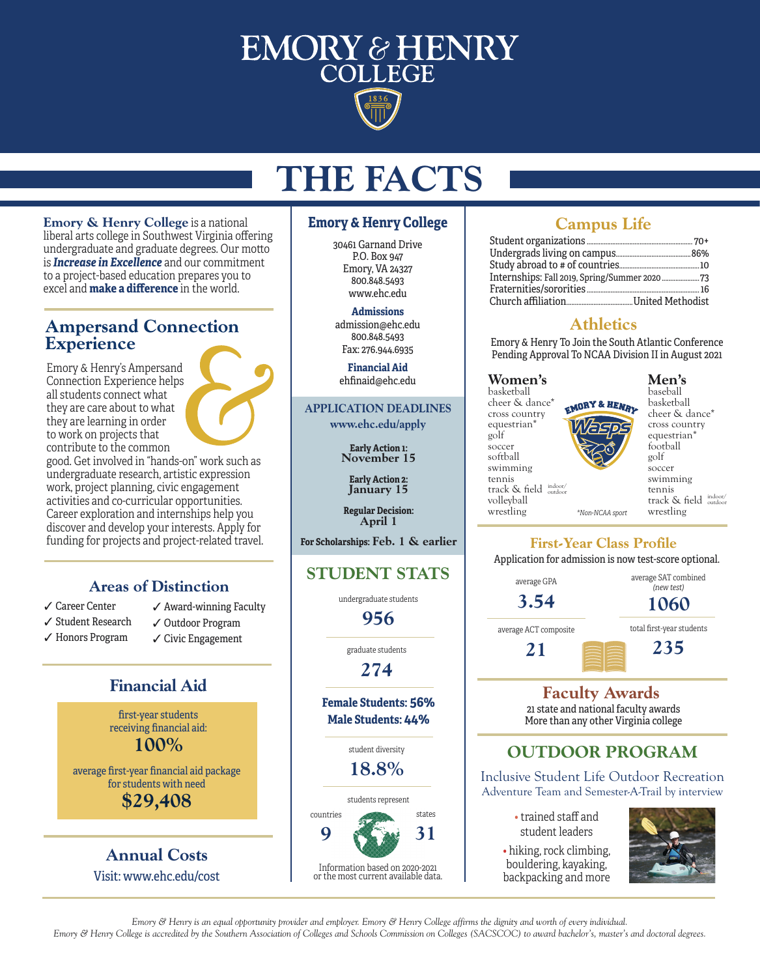# EMORY & HENRY

# **THE FACTS**

**Emory & Henry College** is a national liberal arts college in Southwest Virginia offering undergraduate and graduate degrees. Our motto is *Increase in Excellence* and our commitment to a project-based education prepares you to excel and **make a difference** in the world.

## **Ampersand Connection Experience**

Emory & Henry's Ampersand Connection Experience helps all students connect what they are care about to what they are learning in order to work on projects that contribute to the common

good. Get involved in "hands-on" work such as undergraduate research, artistic expression work, project planning, civic engagement activities and co-curricular opportunities. Career exploration and internships help you discover and develop your interests. Apply for funding for projects and project-related travel.

## **9** first-year students receiving financial aid: **100%** average first-year financial aid package for students with need **\$29,408 Annual Costs Financial Aid Areas of Distinction √ Career Center** √ Student Research  $\checkmark$  Honors Program  $\checkmark$  Award-winning Faculty √ Outdoor Program  $\checkmark$  Civic Engagement

#### **Emory & Henry College**

30461 Garnand Drive P.O. Box 947 Emory, VA 24327 800.848.5493 www.ehc.edu

**Admissions** admission@ehc.edu 800.848.5493 Fax: 276.944.6935

**Financial Aid** ehfinaid@ehc.edu

## **APPLICATION DEADLINES**

**www.ehc.edu/apply**

**Early Action 1: November 15**

**Early Action 2: January 15**

**Regular Decision: April 1**

**For Scholarships: Feb. 1 & earlier**

## **STUDENT STATS**

undergraduate students

**956**

graduate students

**274**

#### **Female Students: 56% Male Students: 44%**

student diversity

**18.8%**

students represent



## Information based on 2020-2021 or the most current available data.

## **Campus Life**

## **Athletics**

Emory & Henry To Join the South Atlantic Conference Pending Approval To NCAA Division II in August 2021



## **First-Year Class Profile**

Application for admission is now test-score optional.

average GPA **3.54** average SAT combined *(new test)* **1060** average ACT composite **21** total first-year students **235**

## **Faculty Awards**

21 state and national faculty awards More than any other Virginia college

## **OUTDOOR PROGRAM**

Inclusive Student Life Outdoor Recreation Adventure Team and Semester-A-Trail by interview

> • trained staff and student leaders

• hiking, rock climbing, bouldering, kayaking, backpacking and more



*Emory & Henry is an equal opportunity provider and employer. Emory & Henry College affirms the dignity and worth of every individual.* 

*Emory & Henry College is accredited by the Southern Association of Colleges and Schools Commission on Colleges (SACSCOC) to award bachelor's, master's and doctoral degrees.* 

Visit: www.ehc.edu/cost